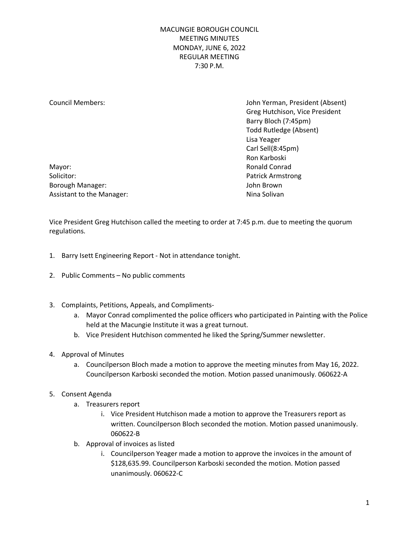Council Members: John Yerman, President (Absent) Greg Hutchison, Vice President Barry Bloch (7:45pm) Todd Rutledge (Absent) Lisa Yeager Carl Sell (8:45pm) Ron Karboski

Mayor: **Mayor:** Ronald Conrad Solicitor: Patrick Armstrong Borough Manager: John Brown John Brown John Brown Assistant to the Manager: Nina Solivan

Vice President Greg Hutchison called the meeting to order at 7:45 p.m. due to meeting the quorum regulations.

- 1. Barry Isett Engineering Report Not in attendance tonight.
- 2. Public Comments No public comments
- 3. Complaints, Petitions, Appeals, and Compliments
	- a. Mayor Conrad complimented the police officers who participated in Painting with the Police held at the Macungie Institute it was a great turnout.
	- b. Vice President Hutchison commented he liked the Spring/Summer newsletter.
- 4. Approval of Minutes
	- a. Councilperson Bloch made a motion to approve the meeting minutes from May 16, 2022. Councilperson Karboski seconded the motion. Motion passed unanimously. 060622-A
- 5. Consent Agenda
	- a. Treasurers report
		- i. Vice President Hutchison made a motion to approve the Treasurers report as written. Councilperson Bloch seconded the motion. Motion passed unanimously. 060622-B
	- b. Approval of invoices as listed
		- i. Councilperson Yeager made a motion to approve the invoices in the amount of \$128,635.99. Councilperson Karboski seconded the motion. Motion passed unanimously. 060622-C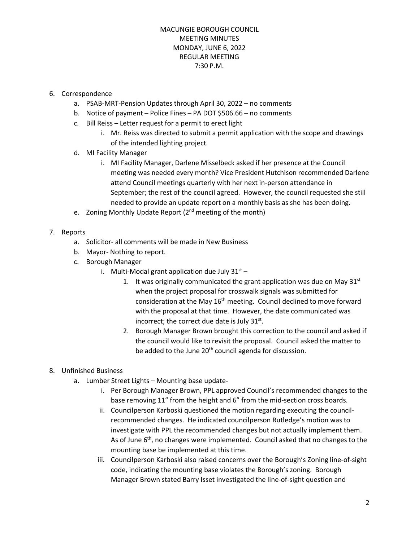## 6. Correspondence

- a. PSAB-MRT-Pension Updates through April 30, 2022 no comments
- b. Notice of payment Police Fines PA DOT \$506.66 no comments
- c. Bill Reiss Letter request for a permit to erect light
	- i. Mr. Reiss was directed to submit a permit application with the scope and drawings of the intended lighting project.
- d. MI Facility Manager
	- i. MI Facility Manager, Darlene Misselbeck asked if her presence at the Council meeting was needed every month? Vice President Hutchison recommended Darlene attend Council meetings quarterly with her next in-person attendance in September; the rest of the council agreed. However, the council requested she still needed to provide an update report on a monthly basis as she has been doing.
- e. Zoning Monthly Update Report (2<sup>nd</sup> meeting of the month)

#### 7. Reports

- a. Solicitor- all comments will be made in New Business
- b. Mayor- Nothing to report.
- c. Borough Manager
	- i. Multi-Modal grant application due July  $31<sup>st</sup>$ 
		- 1. It was originally communicated the grant application was due on May  $31^{st}$ when the project proposal for crosswalk signals was submitted for consideration at the May 16<sup>th</sup> meeting. Council declined to move forward with the proposal at that time. However, the date communicated was incorrect; the correct due date is July  $31<sup>st</sup>$ .
		- 2. Borough Manager Brown brought this correction to the council and asked if the council would like to revisit the proposal. Council asked the matter to be added to the June  $20<sup>th</sup>$  council agenda for discussion.

# 8. Unfinished Business

- a. Lumber Street Lights Mounting base update
	- i. Per Borough Manager Brown, PPL approved Council's recommended changes to the base removing 11" from the height and 6" from the mid-section cross boards.
	- ii. Councilperson Karboski questioned the motion regarding executing the councilrecommended changes. He indicated councilperson Rutledge's motion was to investigate with PPL the recommended changes but not actually implement them. As of June  $6<sup>th</sup>$ , no changes were implemented. Council asked that no changes to the mounting base be implemented at this time.
	- iii. Councilperson Karboski also raised concerns over the Borough's Zoning line-of-sight code, indicating the mounting base violates the Borough's zoning. Borough Manager Brown stated Barry Isset investigated the line-of-sight question and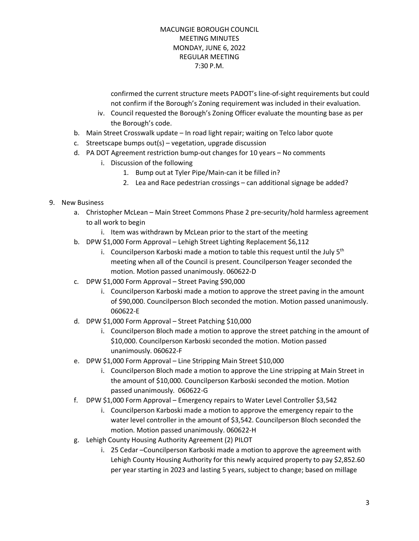confirmed the current structure meets PADOT's line-of-sight requirements but could not confirm if the Borough's Zoning requirement was included in their evaluation.

- iv. Council requested the Borough's Zoning Officer evaluate the mounting base as per the Borough's code.
- b. Main Street Crosswalk update In road light repair; waiting on Telco labor quote
- c. Streetscape bumps out(s) vegetation, upgrade discussion
- d. PA DOT Agreement restriction bump-out changes for 10 years No comments
	- i. Discussion of the following
		- 1. Bump out at Tyler Pipe/Main-can it be filled in?
		- 2. Lea and Race pedestrian crossings can additional signage be added?

#### 9. New Business

- a. Christopher McLean Main Street Commons Phase 2 pre-security/hold harmless agreement to all work to begin
	- i. Item was withdrawn by McLean prior to the start of the meeting
- b. DPW \$1,000 Form Approval Lehigh Street Lighting Replacement \$6,112
	- i. Councilperson Karboski made a motion to table this request until the July  $5<sup>th</sup>$ meeting when all of the Council is present. Councilperson Yeager seconded the motion. Motion passed unanimously. 060622-D
- c. DPW \$1,000 Form Approval Street Paving \$90,000
	- i. Councilperson Karboski made a motion to approve the street paving in the amount of \$90,000. Councilperson Bloch seconded the motion. Motion passed unanimously. 060622-E
- d. DPW \$1,000 Form Approval Street Patching \$10,000
	- i. Councilperson Bloch made a motion to approve the street patching in the amount of \$10,000. Councilperson Karboski seconded the motion. Motion passed unanimously. 060622-F
- e. DPW \$1,000 Form Approval Line Stripping Main Street \$10,000
	- i. Councilperson Bloch made a motion to approve the Line stripping at Main Street in the amount of \$10,000. Councilperson Karboski seconded the motion. Motion passed unanimously. 060622-G
- f. DPW \$1,000 Form Approval Emergency repairs to Water Level Controller \$3,542
	- i. Councilperson Karboski made a motion to approve the emergency repair to the water level controller in the amount of \$3,542. Councilperson Bloch seconded the motion. Motion passed unanimously. 060622-H
- g. Lehigh County Housing Authority Agreement (2) PILOT
	- i. 25 Cedar –Councilperson Karboski made a motion to approve the agreement with Lehigh County Housing Authority for this newly acquired property to pay \$2,852.60 per year starting in 2023 and lasting 5 years, subject to change; based on millage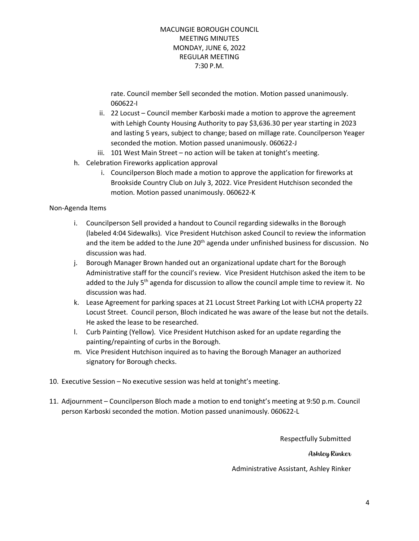rate. Council member Sell seconded the motion. Motion passed unanimously. 060622-I

- ii. 22 Locust Council member Karboski made a motion to approve the agreement with Lehigh County Housing Authority to pay \$3,636.30 per year starting in 2023 and lasting 5 years, subject to change; based on millage rate. Councilperson Yeager seconded the motion. Motion passed unanimously. 060622-J
- iii. 101 West Main Street no action will be taken at tonight's meeting.
- h. Celebration Fireworks application approval
	- i. Councilperson Bloch made a motion to approve the application for fireworks at Brookside Country Club on July 3, 2022. Vice President Hutchison seconded the motion. Motion passed unanimously. 060622-K

#### Non-Agenda Items

- i. Councilperson Sell provided a handout to Council regarding sidewalks in the Borough (labeled 4:04 Sidewalks). Vice President Hutchison asked Council to review the information and the item be added to the June  $20<sup>th</sup>$  agenda under unfinished business for discussion. No discussion was had.
- j. Borough Manager Brown handed out an organizational update chart for the Borough Administrative staff for the council's review. Vice President Hutchison asked the item to be added to the July  $5<sup>th</sup>$  agenda for discussion to allow the council ample time to review it. No discussion was had.
- k. Lease Agreement for parking spaces at 21 Locust Street Parking Lot with LCHA property 22 Locust Street. Council person, Bloch indicated he was aware of the lease but not the details. He asked the lease to be researched.
- l. Curb Painting (Yellow). Vice President Hutchison asked for an update regarding the painting/repainting of curbs in the Borough.
- m. Vice President Hutchison inquired as to having the Borough Manager an authorized signatory for Borough checks.
- 10. Executive Session No executive session was held at tonight's meeting.
- 11. Adjournment Councilperson Bloch made a motion to end tonight's meeting at 9:50 p.m. Council person Karboski seconded the motion. Motion passed unanimously. 060622-L

Respectfully Submitted Ashley Rinker Administrative Assistant, Ashley Rinker